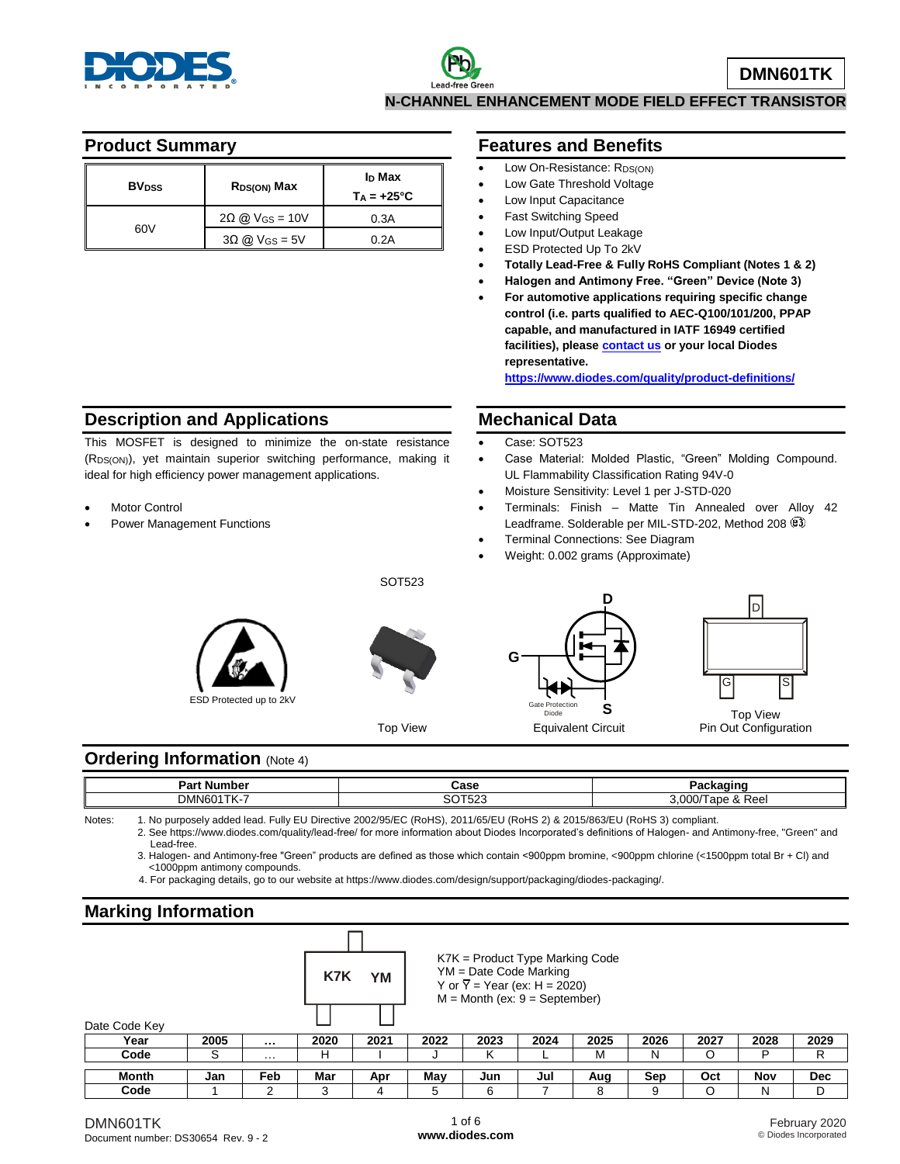

#### **Product Summary**

| <b>BV</b> <sub>DSS</sub> | R <sub>DS(ON)</sub> Max           | I <sub>D</sub> Max<br>$Ta = +25^{\circ}C$ |
|--------------------------|-----------------------------------|-------------------------------------------|
|                          | $2\Omega$ @ V <sub>GS</sub> = 10V | 0.3A                                      |
| 60V                      | $3\Omega$ @ V <sub>GS</sub> = 5V  | 0.2A                                      |

# **Description and Applications**

This MOSFET is designed to minimize the on-state resistance (RDS(ON)), yet maintain superior switching performance, making it ideal for high efficiency power management applications.

- Motor Control
- Power Management Functions

#### **Features and Benefits**

- Low On-Resistance: R<sub>DS(ON)</sub>
- Low Gate Threshold Voltage
- Low Input Capacitance
- Fast Switching Speed
- Low Input/Output Leakage
- ESD Protected Up To 2kV
- **Totally Lead-Free & Fully RoHS Compliant (Notes 1 & 2)**
- **Halogen and Antimony Free. "Green" Device (Note 3)**
- **For automotive applications requiring specific change control (i.e. parts qualified to AEC-Q100/101/200, PPAP capable, and manufactured in IATF 16949 certified facilities), pleas[e contact us](https://www.diodes.com/about/contact-us/) or your local Diodes representative.**

**<https://www.diodes.com/quality/product-definitions/>**

#### **Mechanical Data**

- Case: SOT523
- Case Material: Molded Plastic, "Green" Molding Compound. UL Flammability Classification Rating 94V-0
- Moisture Sensitivity: Level 1 per J-STD-020
- Terminals: Finish Matte Tin Annealed over Alloy 42 Leadframe. Solderable per MIL-STD-202, Method 208  $(3)$
- Terminal Connections: See Diagram
- Weight: 0.002 grams (Approximate)





SOT523

Top View





Pin Out Configuration

### **Ordering Information (Note 4)**

| Part Ni<br>iumber<br>а | "<br>⊍ત્રસ            | ъ.                                                   |
|------------------------|-----------------------|------------------------------------------------------|
| _<br>DMN601            | $- - -$<br>-^^<br>ືບ∠ | nnr<br>$\lambda$<br>$\sim$<br>dÜ<br>$\alpha$<br>net. |

Notes: 1. No purposely added lead. Fully EU Directive 2002/95/EC (RoHS), 2011/65/EU (RoHS 2) & 2015/863/EU (RoHS 3) compliant. 2. See https://www.diodes.com/quality/lead-free/ for more information about Diodes Incorporated's definitions of Halogen- and Antimony-free, "Green" and Lead-free.

3. Halogen- and Antimony-free "Green" products are defined as those which contain <900ppm bromine, <900ppm chlorine (<1500ppm total Br + Cl) and <1000ppm antimony compounds.

4. For packaging details, go to our website at https://www.diodes.com/design/support/packaging/diodes-packaging/.

### **Marking Information**

|  | K7K YM | $K7K =$ Produc<br>$YM = Date Co$<br>Y or $\overline{Y}$ = Year<br>$M =$ Month (ex |
|--|--------|-----------------------------------------------------------------------------------|
|  |        |                                                                                   |
|  |        |                                                                                   |

| $K7K$ = Product Type Marking Code |  |
|-----------------------------------|--|
| $YM = Date Code$ Marking          |  |

 $(ex: H = 2020)$ 

 $\therefore$  9 = September)

| Date Code Key |      |          |      |      |      |                               |      |      |      |      |      |            |
|---------------|------|----------|------|------|------|-------------------------------|------|------|------|------|------|------------|
| Year          | 2005 |          | 2020 | 2021 | 2022 | 2023                          | 2024 | 2025 | 2026 | 2027 | 2028 | 2029       |
| Code          |      | $\cdots$ |      |      |      |                               |      | M    | Ν    |      |      |            |
| Month         | Jan  | Feb      | Mar  | Apr  | May  | Jun                           | Jul  | Aug  | Sep  | Oct  | Nov  | <b>Dec</b> |
| Code          |      |          |      |      |      | $\overline{\phantom{0}}$<br>∽ |      |      |      |      |      |            |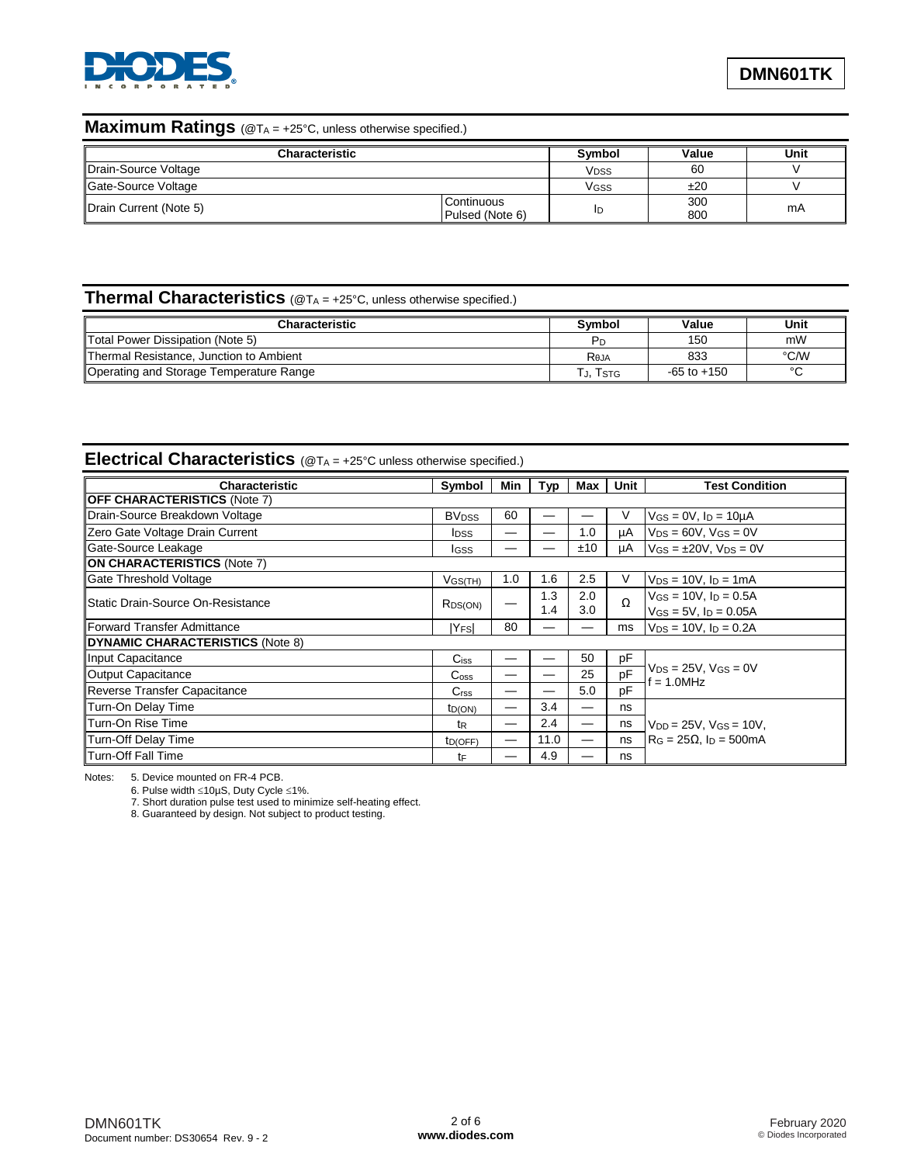

#### **Maximum Ratings** (@T<sup>A</sup> = +25°C, unless otherwise specified.)

| <b>Characteristic</b>  |                               | <b>Symbol</b>    | Value      | Unit |
|------------------------|-------------------------------|------------------|------------|------|
| Drain-Source Voltage   |                               | V <sub>DSS</sub> | 60         |      |
| Gate-Source Voltage    |                               | Vgss             | ±20        |      |
| Drain Current (Note 5) | Continuous<br>Pulsed (Note 6) | ID               | 300<br>800 | mA   |

# **Thermal Characteristics** (@T<sub>A = +25°C, unless otherwise specified.)</sub>

| Characteristic                          | Symbol         | Value           | Unit   |
|-----------------------------------------|----------------|-----------------|--------|
| Total Power Dissipation (Note 5)        | P <sub>D</sub> | 150             | mW     |
| Thermal Resistance, Junction to Ambient | Reja           | 833             | °C/W   |
| Operating and Storage Temperature Range | . j. Tstg      | $-65$ to $+150$ | $\sim$ |

# **Electrical Characteristics** (@T<sup>A</sup> = +25°C unless otherwise specified.)

| <b>Characteristic</b>                      | Symbol                      | Min | Typ  | Max | Unit | <b>Test Condition</b>                          |
|--------------------------------------------|-----------------------------|-----|------|-----|------|------------------------------------------------|
| <b>OFF CHARACTERISTICS (Note 7)</b>        |                             |     |      |     |      |                                                |
| Drain-Source Breakdown Voltage             | <b>BV<sub>DSS</sub></b>     | 60  |      |     | v    | $V_{GS} = 0V$ , $I_D = 10\mu A$                |
| Zero Gate Voltage Drain Current            | <b>I</b> DSS                |     |      | 1.0 | μA   | $V_{DS} = 60V$ , $V_{GS} = 0V$                 |
| Gate-Source Leakage                        | <b>I</b> GSS                |     |      | ±10 | μA   | $V$ GS = $\pm$ 20V, V <sub>DS</sub> = 0V       |
| <b>ON CHARACTERISTICS (Note 7)</b>         |                             |     |      |     |      |                                                |
| Gate Threshold Voltage                     | $V$ GS(TH)                  | 1.0 | 1.6  | 2.5 | V    | $V_{DS} = 10V$ , $I_D = 1mA$                   |
| <b>I</b> Static Drain-Source On-Resistance |                             |     | 1.3  | 2.0 | Ω    | $V_{GS} = 10V$ , $I_D = 0.5A$                  |
|                                            | R <sub>DS(ON)</sub>         |     | 1.4  | 3.0 |      | $V$ <sub>GS</sub> = 5V, $I_D$ = 0.05A          |
| Forward Transfer Admittance                | <b>YFSI</b>                 | 80  |      |     | ms   | $V_{DS} = 10V$ , $I_D = 0.2A$                  |
| DYNAMIC CHARACTERISTICS (Note 8)           |                             |     |      |     |      |                                                |
| Input Capacitance                          | $C$ <sub>iss</sub>          |     |      | 50  | pF   |                                                |
| Output Capacitance                         | $\mathrm{C}_{\mathrm{oss}}$ |     |      | 25  | pF   | $V_{DS}$ = 25V, $V_{GS}$ = 0V<br>$f = 1.0$ MHz |
| Reverse Transfer Capacitance               | C <sub>rss</sub>            |     |      | 5.0 | pF   |                                                |
| Turn-On Delay Time                         | ID(ON)                      |     | 3.4  | –   | ns   |                                                |
| Turn-On Rise Time                          | tR                          | —   | 2.4  | —   | ns   | $V_{DD} = 25V$ , $V_{GS} = 10V$ ,              |
| Turn-Off Delay Time                        | ID(OFF)                     |     | 11.0 |     | ns   | $R_G = 25\Omega$ , $I_D = 500$ mA              |
| <b>Turn-Off Fall Time</b>                  | tF                          |     | 4.9  |     | ns   |                                                |

Notes: 5. Device mounted on FR-4 PCB.

6. Pulse width ≤10µS, Duty Cycle ≤1%.

7. Short duration pulse test used to minimize self-heating effect.

8. Guaranteed by design. Not subject to product testing.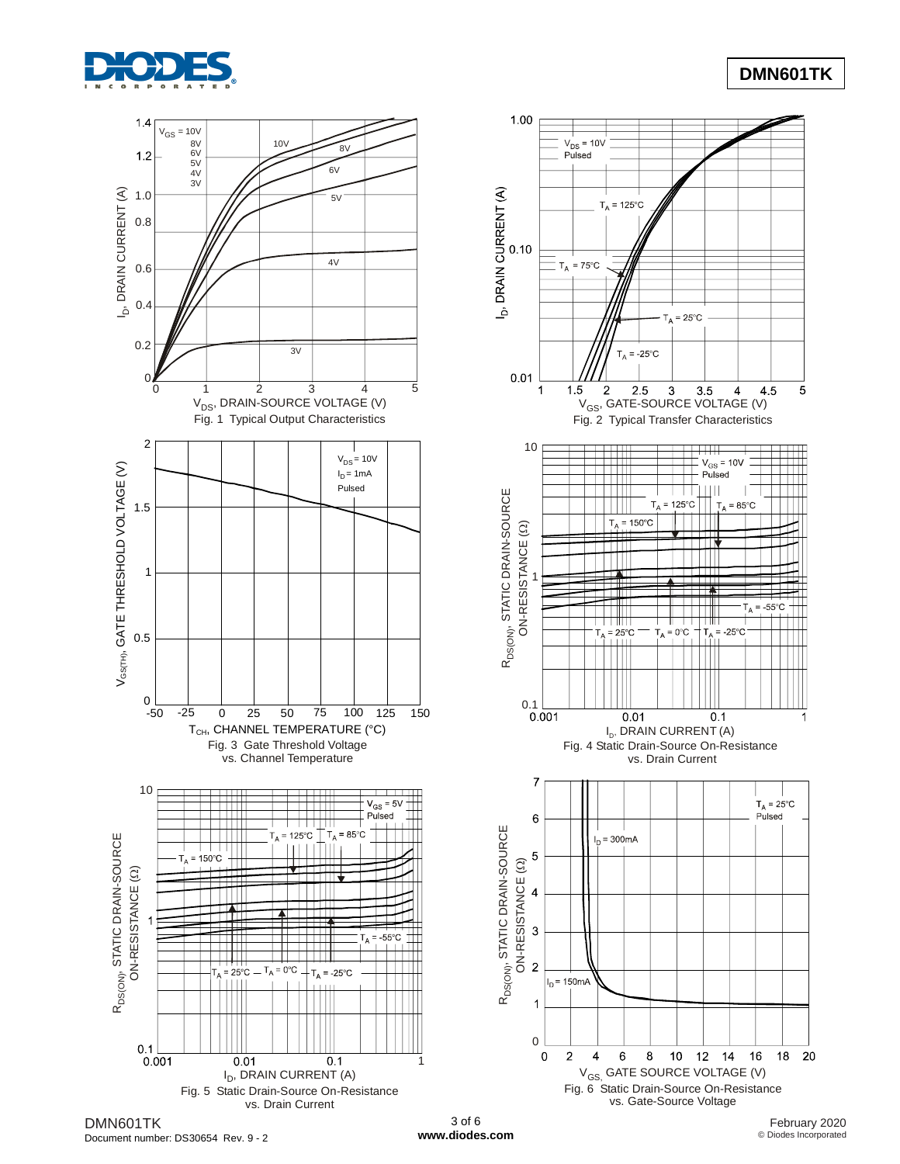

# **DMN601TK**



Document number: DS30654 Rev. 9 - 2

**[www.diodes.com](http://www.diodes.com/)**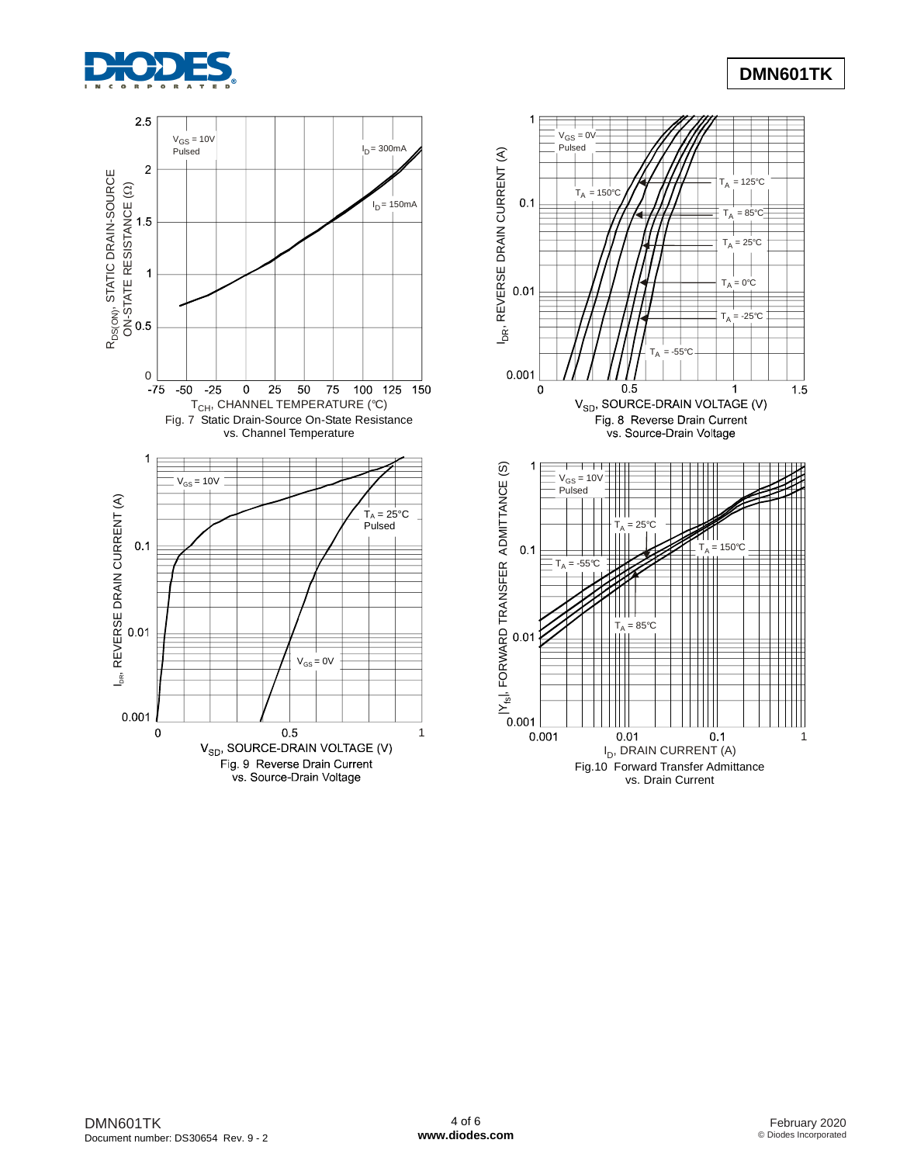



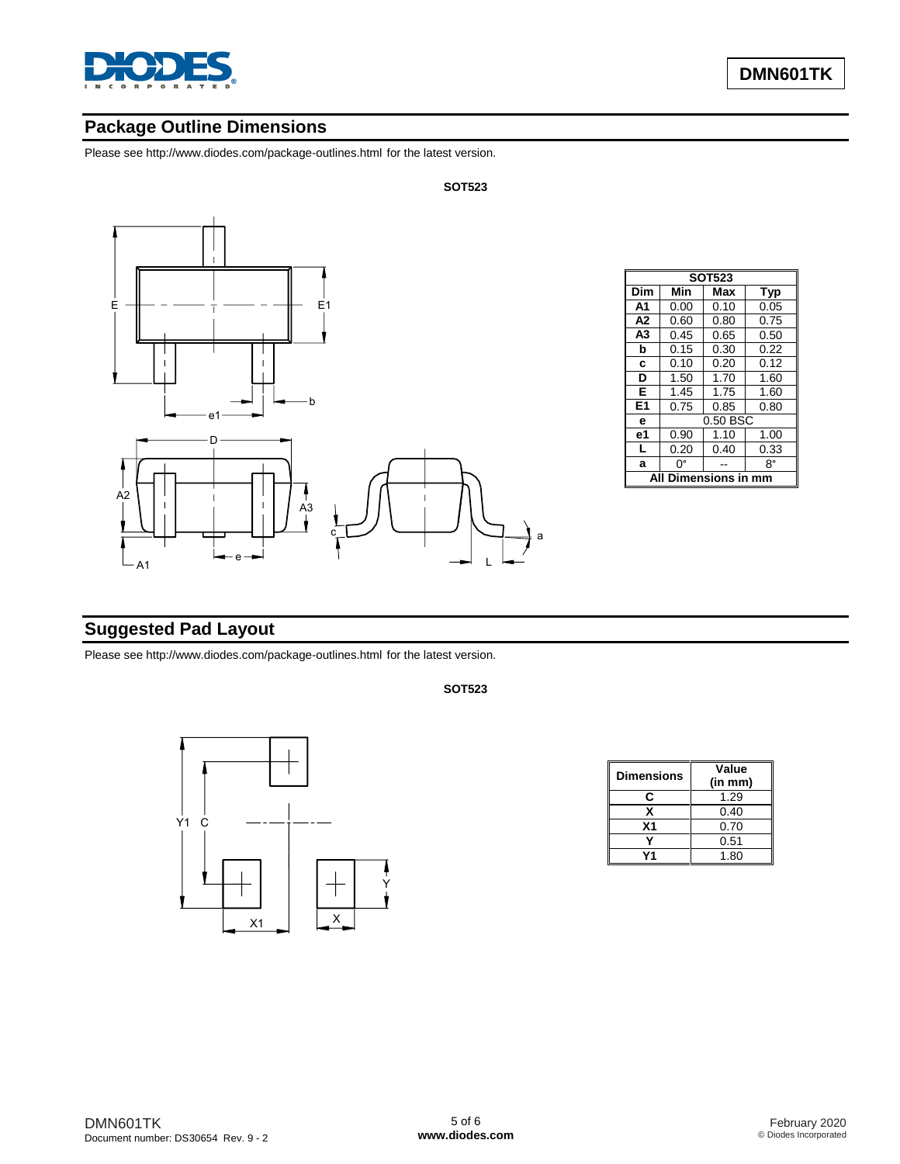

# **Package Outline Dimensions**

Please see http://www.diodes.com/package-outlines.html for the latest version.



| <b>SOT523</b>       |      |            |      |  |  |  |  |  |
|---------------------|------|------------|------|--|--|--|--|--|
| Dim                 | Min  | Max<br>Typ |      |  |  |  |  |  |
| A1                  | 0.00 | 0.10       | 0.05 |  |  |  |  |  |
| A <sub>2</sub>      | 0.60 | 0.80       | 0.75 |  |  |  |  |  |
| A <sub>3</sub>      | 0.45 | 0.65       | 0.50 |  |  |  |  |  |
| b                   | 0.15 | 0.30       | 0.22 |  |  |  |  |  |
| C                   | 0.10 | 0.20       | 0.12 |  |  |  |  |  |
| D                   | 1.50 | 1.70       | 1.60 |  |  |  |  |  |
| Е                   | 1.45 | 1.75       | 1.60 |  |  |  |  |  |
| E1                  | 0.75 | 0.85       | 0.80 |  |  |  |  |  |
| e                   |      | 0.50 BSC   |      |  |  |  |  |  |
| e1                  | 0.90 | 1.10       | 1.00 |  |  |  |  |  |
| L                   | 0.20 | 0.40       | 0.33 |  |  |  |  |  |
| a                   | n۰   |            | 8°   |  |  |  |  |  |
| nensions in mm<br>Д |      |            |      |  |  |  |  |  |

# **Suggested Pad Layout**

Please see http://www.diodes.com/package-outlines.html for the latest version.

#### **SOT523**



| <b>Dimensions</b> | Value<br>(in mm) |
|-------------------|------------------|
| r.                | 1.29             |
| x                 | 0.40             |
| X <sub>1</sub>    | 0.70             |
|                   | 0.51             |
|                   | 1.80             |